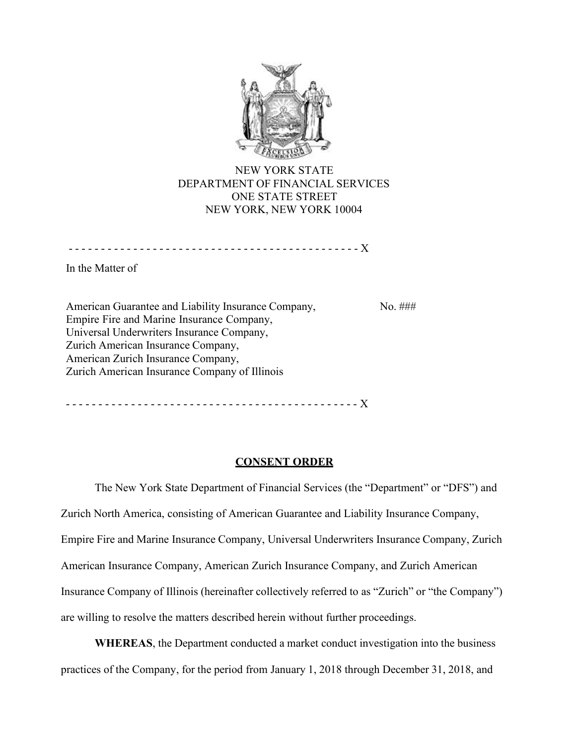

NEW YORK STATE DEPARTMENT OF FINANCIAL SERVICES ONE STATE STREET NEW YORK, NEW YORK 10004

- - - - - - - - - - - - - - - - - - - - - - - - - - - - - - - - - - - - - - - - - - - - - X

In the Matter of

American Guarantee and Liability Insurance Company, Empire Fire and Marine Insurance Company, Universal Underwriters Insurance Company, Zurich American Insurance Company, American Zurich Insurance Company, Zurich American Insurance Company of Illinois No. ###

- - - - - - - - - - - - - - - - - - - - - - - - - - - - - - - - - - - - - - - - - - - - - X

### **CONSENT ORDER**

The New York State Department of Financial Services (the "Department" or "DFS") and Zurich North America, consisting of American Guarantee and Liability Insurance Company, Empire Fire and Marine Insurance Company, Universal Underwriters Insurance Company, Zurich American Insurance Company, American Zurich Insurance Company, and Zurich American Insurance Company of Illinois (hereinafter collectively referred to as "Zurich" or "the Company") are willing to resolve the matters described herein without further proceedings.

**WHEREAS**, the Department conducted a market conduct investigation into the business practices of the Company, for the period from January 1, 2018 through December 31, 2018, and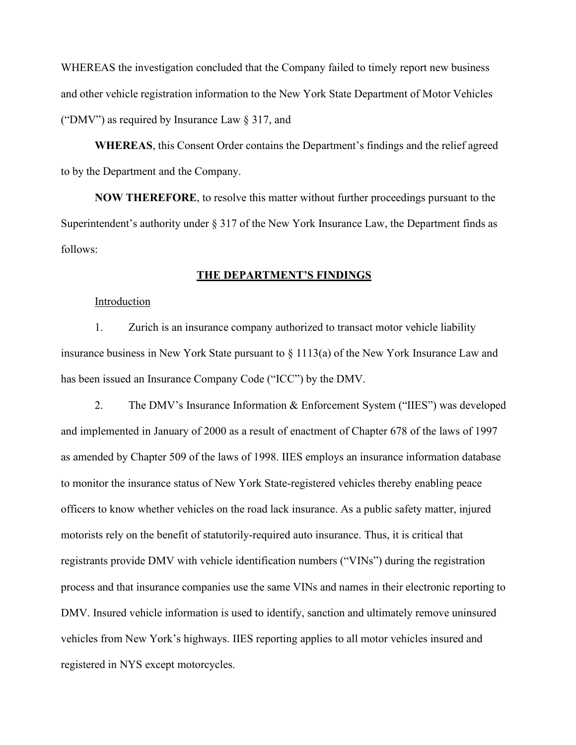WHEREAS the investigation concluded that the Company failed to timely report new business and other vehicle registration information to the New York State Department of Motor Vehicles ("DMV") as required by Insurance Law § 317, and

**WHEREAS**, this Consent Order contains the Department's findings and the relief agreed to by the Department and the Company.

**NOW THEREFORE**, to resolve this matter without further proceedings pursuant to the Superintendent's authority under  $\S 317$  of the New York Insurance Law, the Department finds as follows:

## **THE DEPARTMENT'S FINDINGS**

#### Introduction

1. Zurich is an insurance company authorized to transact motor vehicle liability insurance business in New York State pursuant to § 1113(a) of the New York Insurance Law and has been issued an Insurance Company Code ("ICC") by the DMV.

2. The DMV's Insurance Information & Enforcement System ("IIES") was developed and implemented in January of 2000 as a result of enactment of Chapter 678 of the laws of 1997 as amended by Chapter 509 of the laws of 1998. IIES employs an insurance information database to monitor the insurance status of New York State-registered vehicles thereby enabling peace officers to know whether vehicles on the road lack insurance. As a public safety matter, injured motorists rely on the benefit of statutorily-required auto insurance. Thus, it is critical that registrants provide DMV with vehicle identification numbers ("VINs") during the registration process and that insurance companies use the same VINs and names in their electronic reporting to DMV. Insured vehicle information is used to identify, sanction and ultimately remove uninsured vehicles from New York's highways. IIES reporting applies to all motor vehicles insured and registered in NYS except motorcycles.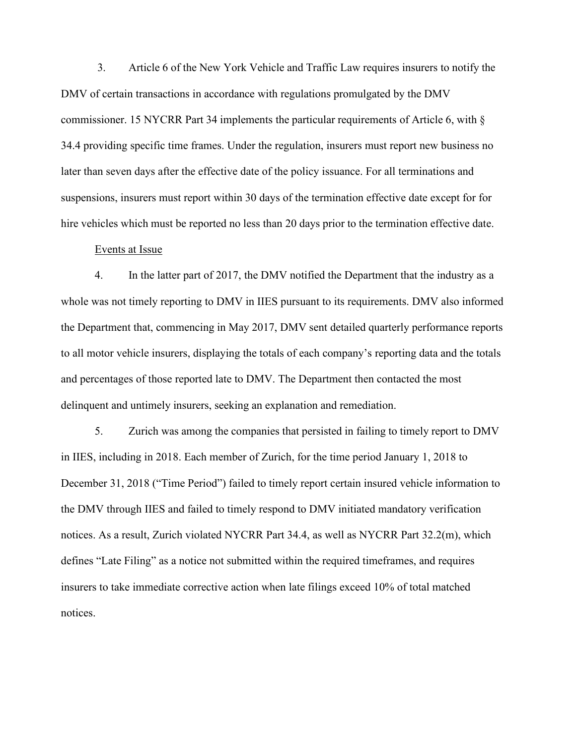3. Article 6 of the New York Vehicle and Traffic Law requires insurers to notify the DMV of certain transactions in accordance with regulations promulgated by the DMV commissioner. 15 NYCRR Part 34 implements the particular requirements of Article 6, with § 34.4 providing specific time frames. Under the regulation, insurers must report new business no later than seven days after the effective date of the policy issuance. For all terminations and suspensions, insurers must report within 30 days of the termination effective date except for for hire vehicles which must be reported no less than 20 days prior to the termination effective date.

## Events at Issue

4. In the latter part of 2017, the DMV notified the Department that the industry as a whole was not timely reporting to DMV in IIES pursuant to its requirements. DMV also informed the Department that, commencing in May 2017, DMV sent detailed quarterly performance reports to all motor vehicle insurers, displaying the totals of each company's reporting data and the totals and percentages of those reported late to DMV. The Department then contacted the most delinquent and untimely insurers, seeking an explanation and remediation.

5. Zurich was among the companies that persisted in failing to timely report to DMV in IIES, including in 2018. Each member of Zurich, for the time period January 1, 2018 to December 31, 2018 ("Time Period") failed to timely report certain insured vehicle information to the DMV through IIES and failed to timely respond to DMV initiated mandatory verification notices. As a result, Zurich violated NYCRR Part 34.4, as well as NYCRR Part 32.2(m), which defines "Late Filing" as a notice not submitted within the required timeframes, and requires insurers to take immediate corrective action when late filings exceed 10% of total matched notices.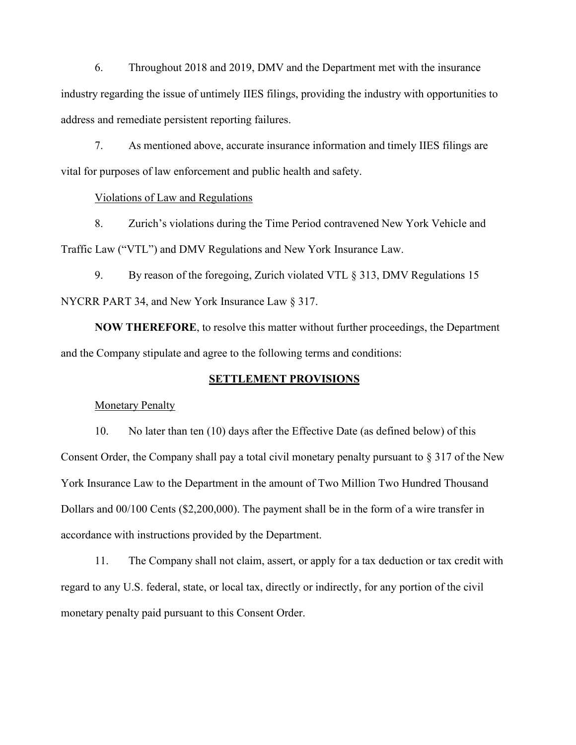6. Throughout 2018 and 2019, DMV and the Department met with the insurance industry regarding the issue of untimely IIES filings, providing the industry with opportunities to address and remediate persistent reporting failures.

7. As mentioned above, accurate insurance information and timely IIES filings are vital for purposes of law enforcement and public health and safety.

# Violations of Law and Regulations

8. Zurich's violations during the Time Period contravened New York Vehicle and Traffic Law ("VTL") and DMV Regulations and New York Insurance Law.

9. By reason of the foregoing, Zurich violated VTL § 313, DMV Regulations 15 NYCRR PART 34, and New York Insurance Law § 317.

**NOW THEREFORE**, to resolve this matter without further proceedings, the Department and the Company stipulate and agree to the following terms and conditions:

### **SETTLEMENT PROVISIONS**

# Monetary Penalty

10. No later than ten (10) days after the Effective Date (as defined below) of this Consent Order, the Company shall pay a total civil monetary penalty pursuant to § 317 of the New York Insurance Law to the Department in the amount of Two Million Two Hundred Thousand Dollars and 00/100 Cents (\$2,200,000). The payment shall be in the form of a wire transfer in accordance with instructions provided by the Department.

11. The Company shall not claim, assert, or apply for a tax deduction or tax credit with regard to any U.S. federal, state, or local tax, directly or indirectly, for any portion of the civil monetary penalty paid pursuant to this Consent Order.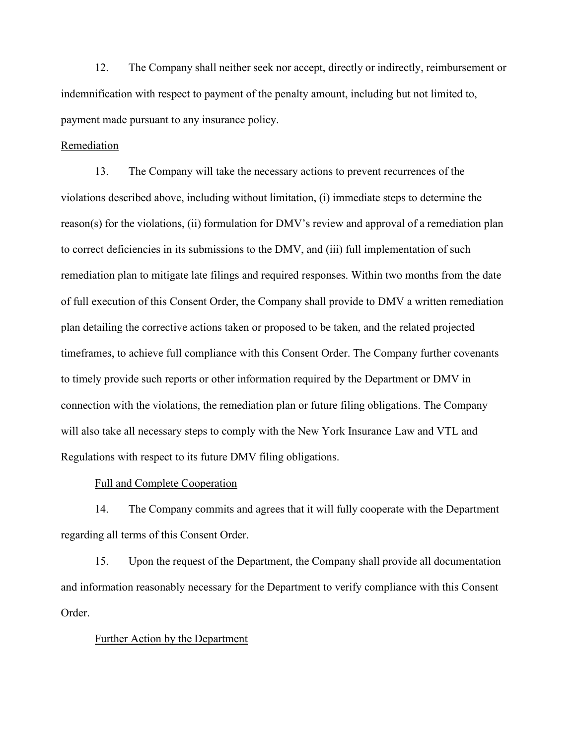12. The Company shall neither seek nor accept, directly or indirectly, reimbursement or indemnification with respect to payment of the penalty amount, including but not limited to, payment made pursuant to any insurance policy.

#### Remediation

13. The Company will take the necessary actions to prevent recurrences of the violations described above, including without limitation, (i) immediate steps to determine the reason(s) for the violations, (ii) formulation for DMV's review and approval of a remediation plan to correct deficiencies in its submissions to the DMV, and (iii) full implementation of such remediation plan to mitigate late filings and required responses. Within two months from the date of full execution of this Consent Order, the Company shall provide to DMV a written remediation plan detailing the corrective actions taken or proposed to be taken, and the related projected timeframes, to achieve full compliance with this Consent Order. The Company further covenants to timely provide such reports or other information required by the Department or DMV in connection with the violations, the remediation plan or future filing obligations. The Company will also take all necessary steps to comply with the New York Insurance Law and VTL and Regulations with respect to its future DMV filing obligations.

## Full and Complete Cooperation

14. The Company commits and agrees that it will fully cooperate with the Department regarding all terms of this Consent Order.

15. Upon the request of the Department, the Company shall provide all documentation and information reasonably necessary for the Department to verify compliance with this Consent Order.

#### Further Action by the Department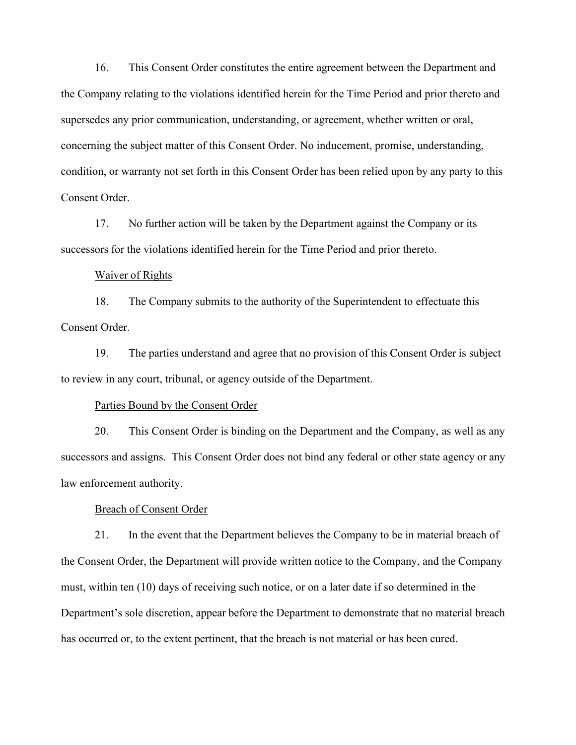16. This Consent Order constitutes the entire agreement between the Department and the Company relating to the violations identified herein for the Time Period and prior thereto and supersedes any prior communication, understanding, or agreement, whether written or oral, concerning the subject matter of this Consent Order. No inducement, promise, understanding, condition, or warranty not set forth in this Consent Order has been relied upon by any party to this Consent Order.

17. No further action will be taken by the Department against the Company or its successors for the violations identified herein for the Time Period and prior thereto.

#### Waiver of Rights

18. The Company submits to the authority of the Superintendent to effectuate this Consent Order.

19. The parties understand and agree that no provision of this Consent Order is subject to review in any court, tribunal, or agency outside of the Department.

#### Parties Bound by the Consent Order

20. This Consent Order is binding on the Department and the Company, as well as any successors and assigns. This Consent Order does not bind any federal or other state agency or any law enforcement authority.

#### Breach of Consent Order

21. In the event that the Department believes the Company to be in material breach of the Consent Order, the Department will provide written notice to the Company, and the Company must, within ten (10) days of receiving such notice, or on a later date if so determined in the Department's sole discretion, appear before the Department to demonstrate that no material breach has occurred or, to the extent pertinent, that the breach is not material or has been cured.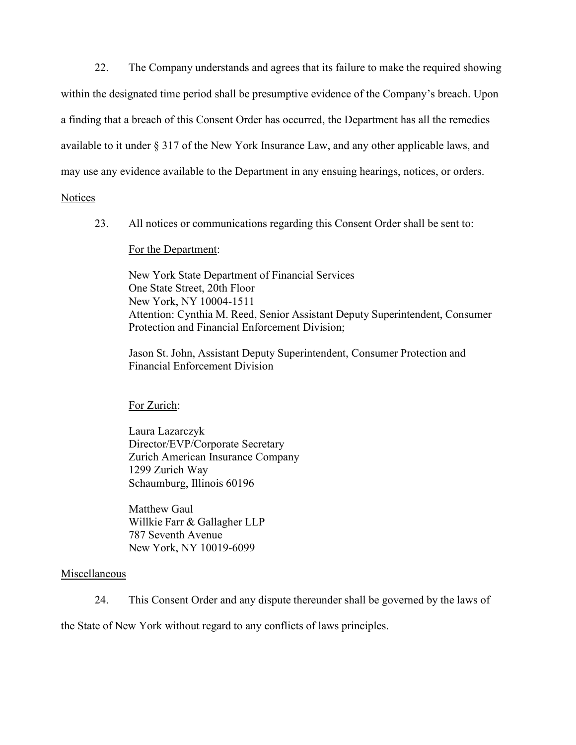22. The Company understands and agrees that its failure to make the required showing within the designated time period shall be presumptive evidence of the Company's breach. Upon a finding that a breach of this Consent Order has occurred, the Department has all the remedies available to it under § 317 of the New York Insurance Law, and any other applicable laws, and may use any evidence available to the Department in any ensuing hearings, notices, or orders.

**Notices** 

23. All notices or communications regarding this Consent Order shall be sent to:

For the Department:

New York State Department of Financial Services One State Street, 20th Floor New York, NY 10004-1511 Attention: Cynthia M. Reed, Senior Assistant Deputy Superintendent, Consumer Protection and Financial Enforcement Division;

Jason St. John, Assistant Deputy Superintendent, Consumer Protection and Financial Enforcement Division

For Zurich:

Laura Lazarczyk Director/EVP/Corporate Secretary Zurich American Insurance Company 1299 Zurich Way Schaumburg, Illinois 60196

Matthew Gaul Willkie Farr & Gallagher LLP 787 Seventh Avenue New York, NY 10019-6099

# Miscellaneous

24. This Consent Order and any dispute thereunder shall be governed by the laws of

the State of New York without regard to any conflicts of laws principles.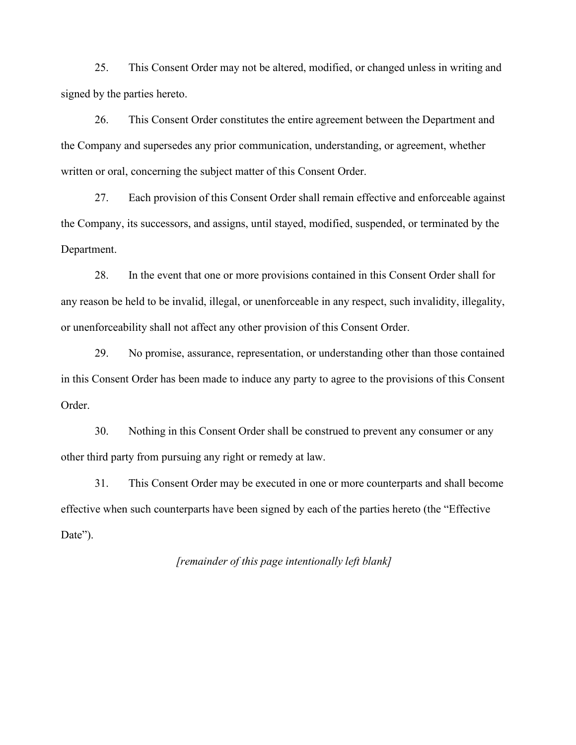25. This Consent Order may not be altered, modified, or changed unless in writing and signed by the parties hereto.

26. This Consent Order constitutes the entire agreement between the Department and the Company and supersedes any prior communication, understanding, or agreement, whether written or oral, concerning the subject matter of this Consent Order.

27. Each provision of this Consent Order shall remain effective and enforceable against the Company, its successors, and assigns, until stayed, modified, suspended, or terminated by the Department.

28. In the event that one or more provisions contained in this Consent Order shall for any reason be held to be invalid, illegal, or unenforceable in any respect, such invalidity, illegality, or unenforceability shall not affect any other provision of this Consent Order.

29. No promise, assurance, representation, or understanding other than those contained in this Consent Order has been made to induce any party to agree to the provisions of this Consent Order.

30. Nothing in this Consent Order shall be construed to prevent any consumer or any other third party from pursuing any right or remedy at law.

31. This Consent Order may be executed in one or more counterparts and shall become effective when such counterparts have been signed by each of the parties hereto (the "Effective Date").

*[remainder of this page intentionally left blank]*